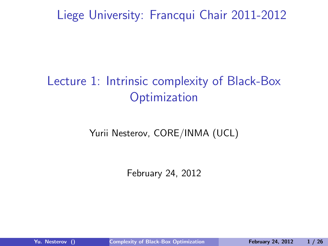Liege University: Francqui Chair 2011-2012

# Lecture 1: Intrinsic complexity of Black-Box **Optimization**

#### Yurii Nesterov, CORE/INMA (UCL)

<span id="page-0-0"></span>February 24, 2012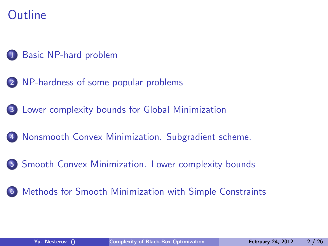# **Outline**

#### [Basic NP-hard problem](#page-3-0)

- [NP-hardness of some popular problems](#page-4-0)
- [Lower complexity bounds for Global Minimization](#page-7-0)
- [Nonsmooth Convex Minimization. Subgradient scheme.](#page-9-0)
- [Smooth Convex Minimization. Lower complexity bounds](#page-12-0)

#### [Methods for Smooth Minimization with Simple Constraints](#page-16-0)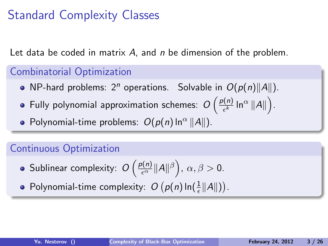# Standard Complexity Classes

Let data be coded in matrix A, and n be dimension of the problem.

#### Combinatorial Optimization

- NP-hard problems: 2<sup>n</sup> operations. Solvable in  $O(p(n)||A||)$ .
- Fully polynomial approximation schemes:  $O\left(\frac{p(n)}{\epsilon^k}\right)$  $\frac{\ln(n)}{\epsilon^k} \ln^{\alpha} \|A\|$ .
- Polynomial-time problems:  $O(p(n) \ln^{\alpha} ||A||)$ .

#### Continuous Optimization

Sublinear complexity:  $O\left(\frac{p(n)}{\epsilon^{\alpha}}\|A\|^{\beta}\right)$ ,  $\alpha, \beta > 0$ .

Polynomial-time complexity:  $O(p(n) \ln(\frac{1}{\epsilon} ||A||)).$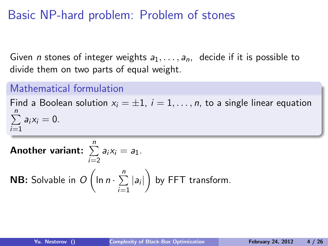## Basic NP-hard problem: Problem of stones

Given *n* stones of integer weights  $a_1, \ldots, a_n$ , decide if it is possible to divide them on two parts of equal weight.

#### Mathematical formulation

Find a Boolean solution  $x_i = \pm 1$ ,  $i = 1, \ldots, n$ , to a single linear equation  $\sum_{n=1}^{n}$  $i=1$  $a_i x_i = 0$ .

<span id="page-3-0"></span>Another variant:  $\sum^{n}$  $i=2$  $a_i x_i = a_1$ . **NB:** Solvable in  $O\left(\ln n \cdot \sum\limits_{i=1}^{n} \right)$  $i=1$  $|a_i|$  by FFT transform.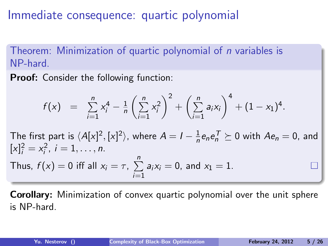Immediate consequence: quartic polynomial

Theorem: Minimization of quartic polynomial of n variables is NP-hard.

Proof: Consider the following function:

$$
f(x) = \sum_{i=1}^{n} x_i^4 - \frac{1}{n} \left( \sum_{i=1}^{n} x_i^2 \right)^2 + \left( \sum_{i=1}^{n} a_i x_i \right)^4 + (1 - x_1)^4.
$$

The first part is  $\langle A[x]^2,[x]^2\rangle$ , where  $A=I-\frac{1}{n}$  $\frac{1}{n}$ e<sub>n</sub>e $\frac{1}{n}$   $\succeq$  0 with  $Ae_n = 0$ , and  $[x]_i^2 = x_i^2$ ,  $i = 1, \ldots, n$ . Pn

Thus, 
$$
f(x) = 0
$$
 iff all  $x_i = \tau$ ,  $\sum_{i=1} a_i x_i = 0$ , and  $x_1 = 1$ .

<span id="page-4-0"></span>Corollary: Minimization of convex quartic polynomial over the unit sphere is NP-hard.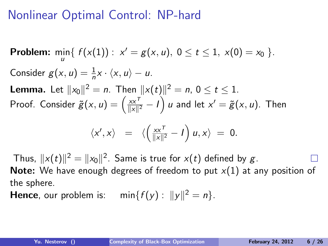# Nonlinear Optimal Control: NP-hard

**Problem:**  $\min_{u} \{ f(x(1)) : x' = g(x, u), 0 \le t \le 1, x(0) = x_0 \}.$ Consider  $g(x, u) = \frac{1}{n}x \cdot \langle x, u \rangle - u$ . **Lemma.** Let  $||x_0||^2 = n$ . Then  $||x(t)||^2 = n$ ,  $0 \le t \le 1$ . Proof. Consider  $\tilde{g}(x, u) = \left(\frac{xx^{\tau}}{\|x\|^2}\right)$  $\frac{x \times^T}{\|x\|^2} - I\Big)$   $u$  and let  $x' = \widetilde{g}(x,u).$  Then  $\langle x', x \rangle = \langle \left( \frac{xx^{\mathsf{T}}}{\|\mathbf{x}\|^2} \right)$  $\frac{xx^{\mathsf{T}}}{\|x\|^2} - I$   $u, x \rangle = 0$ .

Thus,  $\|x(t)\|^2 = \|x_0\|^2.$  Same is true for  $x(t)$  defined by  $g$ . **Note:** We have enough degrees of freedom to put  $x(1)$  at any position of the sphere.

**Hence**, our problem is:  $\min\{f(y): ||y||^2 = n\}.$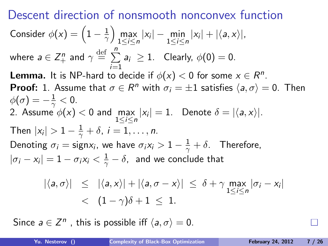Descent direction of nonsmooth nonconvex function Consider  $\phi(x) = \left(1 - \frac{1}{\gamma}\right)$  $\frac{1}{\gamma}$  max |x<sub>i</sub>| – min |x<sub>i</sub>| + | $\langle a, x \rangle$ |, where  $a \in \mathsf{Z}_+^n$  and  $\gamma \stackrel{\rm def}{=} \sum\limits_{}^n$  $i=1$  $a_i \geq 1$ . Clearly,  $\phi(0) = 0$ . **Lemma.** It is NP-hard to decide if  $\phi(x) < 0$  for some  $x \in R^n$ . **Proof:** 1. Assume that  $\sigma \in R^n$  with  $\sigma_i = \pm 1$  satisfies  $\langle a, \sigma \rangle = 0$ . Then  $\phi(\sigma)=-\frac{1}{\gamma}<0.$ 2. Assume  $\phi(x) < 0$  and  $\max_{1 \leq i \leq n} |x_i| = 1$ . Denote  $\delta = |\langle a, x \rangle|$ . Then  $|x_i| > 1 - \frac{1}{\gamma} + \delta$ ,  $i = 1, \ldots, n$ . Denoting  $\sigma_i = \text{sign} x_i$ , we have  $\sigma_i x_i > 1 - \frac{1}{\gamma} + \delta$ . Therefore,  $|\sigma_i - x_i| = 1 - \sigma_i x_i < \frac{1}{\gamma} - \delta$ , and we conclude that  $|\langle a, \sigma \rangle| \leq |\langle a, x \rangle| + |\langle a, \sigma - x \rangle| \leq \delta + \gamma \max_{1 \leq i \leq n} |\sigma_i - x_i|$  $\langle (1-\gamma)\delta+1 \leq 1.$ 

Since  $a \in \mathbb{Z}^n$ , this is possible iff  $\langle a, \sigma \rangle = 0$ .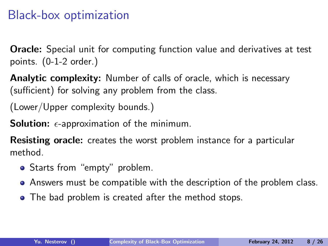### Black-box optimization

Oracle: Special unit for computing function value and derivatives at test points. (0-1-2 order.)

**Analytic complexity:** Number of calls of oracle, which is necessary (sufficient) for solving any problem from the class.

(Lower/Upper complexity bounds.)

**Solution:**  $\epsilon$ -approximation of the minimum.

Resisting oracle: creates the worst problem instance for a particular method.

- Starts from "empty" problem.
- Answers must be compatible with the description of the problem class.
- <span id="page-7-0"></span>• The bad problem is created after the method stops.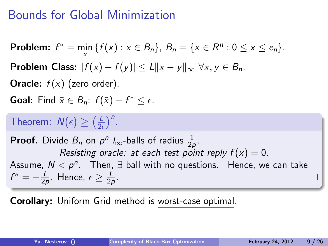### Bounds for Global Minimization

**Problem:** 
$$
f^* = \min_x \{f(x) : x \in B_n\}
$$
,  $B_n = \{x \in R^n : 0 \le x \le e_n\}$ .  
\n**Problem Class:**  $|f(x) - f(y)| \le L||x - y||_{\infty} \forall x, y \in B_n$ .  
\n**Oracle:**  $f(x)$  (zero order).  
\n**Goal:** Find  $\bar{x} \in B_n$ :  $f(\bar{x}) - f^* \le \epsilon$ .  
\n**Theorem:**  $N(\epsilon) \ge (\frac{L}{2\epsilon})^n$ .  
\n**Proof.** Divide  $B_n$  on  $p^n I_{\infty}$ -balls of radius  $\frac{1}{2p}$ .  
\n*Resisting oracle: at each test point reply*  $f(x) = 0$ .

Assume,  $N < p^n$ . Then,  $\exists$  ball with no questions. Hence, we can take  $f^* = -\frac{L}{2}$  $\frac{L}{2\rho}$ . Hence,  $\epsilon \geq \frac{L}{2\rho}$  $rac{L}{2p}$ .

Corollary: Uniform Grid method is worst-case optimal.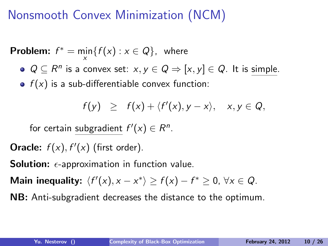# Nonsmooth Convex Minimization (NCM)

**Problem:**  $f^* = \min_{x} \{ f(x) : x \in Q \}$ , where

 $Q \subseteq R^n$  is a convex set:  $x, y \in Q \Rightarrow [x, y] \in Q$ . It is simple.

 $\bullet$   $f(x)$  is a sub-differentiable convex function:

<span id="page-9-0"></span>
$$
f(y) \geq f(x) + \langle f'(x), y - x \rangle, \quad x, y \in Q,
$$

for certain subgradient  $f'(x) \in R^n$ .

Oracle:  $f(x)$ ,  $f'(x)$  (first order).

**Solution:**  $\epsilon$ -approximation in function value.

Main inequality:  $\langle f'(x), x - x^* \rangle \ge f(x) - f^* \ge 0, \forall x \in Q$ .

NB: Anti-subgradient decreases the distance to the optimum.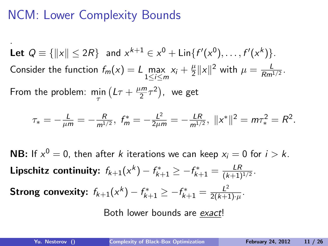## NCM: Lower Complexity Bounds

. Let  $Q \equiv \{ ||x|| \leq 2R \}$  and  $x^{k+1} \in x^0 + \text{Lin}\{f'(x^0), \ldots, f'(x^k)\}.$ Consider the function  $f_m(x) = L \max_{1 \le i \le m} x_i + \frac{\mu}{2}$  $\frac{\mu}{2} \|x\|^2$  with  $\mu = \frac{L}{Rm^2}$  $rac{L}{Rm^{1/2}}$ . From the problem:  $\min_{\tau} (L\tau + \frac{\mu m}{2})$  $\left(\frac{2m}{2}\tau^2\right)$ , we get

$$
\tau_*=-\frac{L}{\mu m}=-\frac{R}{m^{1/2}},\;f^*_m=-\frac{L^2}{2\mu m}=-\frac{LR}{m^{1/2}},\;||x^*||^2=m\tau_*^2=R^2.
$$

**NB:** If  $x^0 = 0$ , then after k iterations we can keep  $x_i = 0$  for  $i > k$ . Lipschitz continuity:  $f_{k+1}(x^k) - f_{k+1}^* \ge -f_{k+1}^* = \frac{LR}{(k+1)^k}$  $\frac{LR}{(k+1)^{1/2}}$ . Strong convexity:  $f_{k+1}(x^{k}) - f_{k+1}^{*} \geq -f_{k+1}^{*} = \frac{L^{2}}{2(k+1)^{2}}$  $\frac{L^2}{2(k+1)\cdot\mu}$ .

Both lower bounds are exact!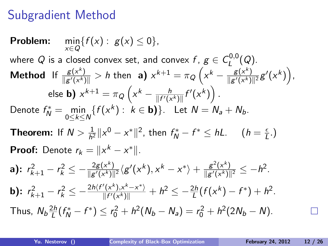# Subgradient Method

Problem: 
$$
\min_{x \in Q} \{f(x) : g(x) \le 0\},
$$
  
\nwhere *Q* is a closed convex set, and convex  $f, g \in C_L^{0,0}(Q)$ .  
\nMethod If  $\frac{g(x^k)}{\|g'(x^k)\|} > h$  then **a**)  $x^{k+1} = \pi_Q \left(x^k - \frac{g(x^k)}{\|g'(x^k)\|^2}g'(x^k)\right)$ ,  
\nelse **b**)  $x^{k+1} = \pi_Q \left(x^k - \frac{h}{\|f'(x^k)\|}f'(x^k)\right)$ .  
\nDenote  $f_N^* = \min_{0 \le k \le N} \{f(x^k) : k \in \mathbf{b}\}$ . Let  $N = N_a + N_b$ .  
\n**Theorem:** If  $N > \frac{1}{h^2} ||x^0 - x^*||^2$ , then  $f_N^* - f^* \le hL$ .  $(h = \frac{\epsilon}{L})$ .  
\nProof: Denote  $r_k = ||x^k - x^*||$ .  
\n**a)**:  $r_{k+1}^2 - r_k^2 \le -\frac{2g(x^k)}{||g'(x^k)||^2} \langle g'(x^k), x^k - x^* \rangle + \frac{g^2(x^k)}{||g'(x^k)||^2} \le -h^2$ .  
\n**b)**:  $r_{k+1}^2 - r_k^2 \le -\frac{2h(f'(x^k), x^k - x^*)}{||f'(x^k)||} + h^2 \le -\frac{2h}{L} (f(x^k) - f^*) + h^2$ .  
\nThus,  $N_b \frac{2h}{L} (f_N^* - f^*) \le r_0^2 + h^2 (N_b - N_a) = r_0^2 + h^2 (2N_b - N)$ .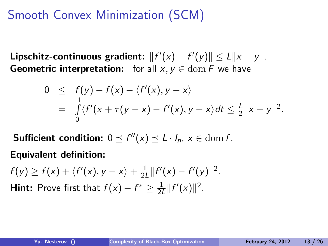# Smooth Convex Minimization (SCM)

Lipschitz-continuous gradient:  $||f'(x) - f'(y)|| \le L||x - y||$ . **Geometric interpretation:** for all  $x, y \in \text{dom } F$  we have

<span id="page-12-0"></span>
$$
0 \leq f(y) - f(x) - \langle f'(x), y - x \rangle
$$
  
= 
$$
\int_{0}^{1} \langle f'(x + \tau(y - x) - f'(x), y - x \rangle) dt \leq \frac{1}{2} ||x - y||^{2}.
$$

**Sufficient condition:**  $0 \le f''(x) \le L \cdot I_n$ ,  $x \in \text{dom } f$ .

Equivalent definition:

 $f(y) \geq f(x) + \langle f'(x), y - x \rangle + \frac{1}{2l}$  $\frac{1}{2L}||f'(x)-f'(y)||^2$ . **Hint:** Prove first that  $f(x) - f^* \geq \frac{1}{24}$  $\frac{1}{2L} ||f'(x)||^2$ .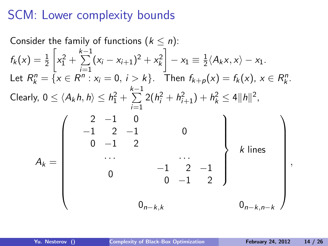## SCM: Lower complexity bounds

Consider the family of functions 
$$
(k \le n)
$$
:  
\n
$$
f_k(x) = \frac{1}{2} \left[ x_1^2 + \sum_{i=1}^{k-1} (x_i - x_{i+1})^2 + x_k^2 \right] - x_1 \equiv \frac{1}{2} \langle A_k x, x \rangle - x_1.
$$
\nLet  $R_k^n = \{x \in R^n : x_i = 0, i > k\}$ . Then  $f_{k+p}(x) = f_k(x), x \in R_k^n$ .  
\nClearly,  $0 \le \langle A_k h, h \rangle \le h_1^2 + \sum_{i=1}^{k-1} 2(h_i^2 + h_{i+1}^2) + h_k^2 \le 4 ||h||^2$ ,  
\n
$$
A_k = \begin{pmatrix} 2 & -1 & 0 \\ -1 & 2 & -1 \\ 0 & -1 & 2 \\ \cdots & \cdots & \cdots \\ 0 & -1 & 2 \end{pmatrix} \begin{matrix} k \text{ lines} \\ k \text{ lines} \\ k \text{ lines} \\ 0 \\ -1 \end{matrix}
$$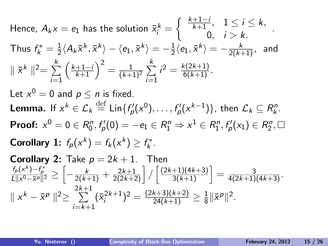Hence, 
$$
A_k x = e_1
$$
 has the solution  $\bar{x}_i^k = \begin{cases} \frac{k+1-i}{k+1}, & 1 \le i \le k, \\ 0, & i > k. \end{cases}$   
\nThus  $f_k^* = \frac{1}{2} \langle A_k \bar{x}^k, \bar{x}^k \rangle - \langle e_1, \bar{x}^k \rangle = -\frac{1}{2} \langle e_1, \bar{x}^k \rangle = -\frac{k}{2(k+1)},$  and  $|| \bar{x}^k ||^2 = \sum_{i=1}^k \left( \frac{k+1-i}{k+1} \right)^2 = \frac{1}{(k+1)^2} \sum_{i=1}^k i^2 = \frac{k(2k+1)}{6(k+1)}$ .  
\nLet  $x^0 = 0$  and  $p \le n$  is fixed.  
\n**Lemma.** If  $x^k \in \mathcal{L}_k$   $\stackrel{\text{def}}{=} \text{Lin}\{f'_p(x^0), \ldots, f'_p(x^{k-1})\}$ , then  $\mathcal{L}_k \subseteq R_k^n$ .  
\n**Proof:**  $x^0 = 0 \in R_0^n$ ,  $f'_p(0) = -e_1 \in R_1^n \Rightarrow x^1 \in R_1^n$ ,  $f'_p(x_1) \in R_2^n$ ,  $\Box$   
\n**Corollary 1:**  $f_p(x^k) = f_k(x^k) \ge f_k^*$ .  
\n**Corollary 2:** Take  $p = 2k + 1$ . Then  $\frac{f_p(x^k) - f_p^*}{\sum_{i=1}^k \sum_{j=1}^k \frac{2k+1}{(k+1)(4k+3)}} = \frac{3}{\sqrt{25}}$ .

$$
\frac{f_p(x^k) - f_p^*}{L\|x^0 - \bar{x}^p\|^2} \ge \left[ -\frac{k}{2(k+1)} + \frac{2k+1}{2(2k+2)} \right] / \left[ \frac{(2k+1)(4k+3)}{3(k+1)} \right] = \frac{3}{4(2k+1)(4k+3)}.
$$
  

$$
\|x^k - \bar{x}^p\|^2 \ge \sum_{i=k+1}^{2k+1} (\bar{x}_i^{2k+1})^2 = \frac{(2k+3)(k+2)}{24(k+1)} \ge \frac{1}{8} \|\bar{x}^p\|^2.
$$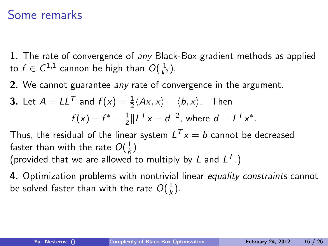### Some remarks

**1.** The rate of convergence of any Black-Box gradient methods as applied to  $f\in \mathcal{C}^{1,1}$  cannon be high than  $O(\frac{1}{k^2})$  $\frac{1}{k^2}$ .

2. We cannot guarantee any rate of convergence in the argument.

**3.** Let 
$$
A = LL^T
$$
 and  $f(x) = \frac{1}{2} \langle Ax, x \rangle - \langle b, x \rangle$ . Then  

$$
f(x) - f^* = \frac{1}{2} ||L^T x - d||^2, \text{ where } d = L^T x^*.
$$

Thus, the residual of the linear system  $L^{\mathcal{T}} x = b$  cannot be decreased faster than with the rate  $O(\frac{1}{k})$  $\frac{1}{k}$ (provided that we are allowed to multiply by L and  $L^T$ .)

4. Optimization problems with nontrivial linear equality constraints cannot be solved faster than with the rate  $O(\frac{1}{k})$  $\frac{1}{k}$ ).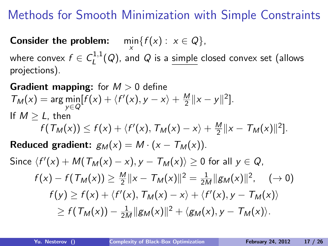# Methods for Smooth Minimization with Simple Constraints

**Consider the problem:**  $\min_{x} \{f(x) : x \in Q\},\$ 

where convex  $f \in \mathcal{C}^{1,1}_I$  $L^{(1,1)}(Q)$ , and  $Q$  is a simple closed convex set (allows projections).

#### **Gradient mapping:** for  $M > 0$  define  $T_M(x) = \arg\min_{y \in Q} [f(x) + \langle f'(x), y - x \rangle + \frac{M}{2}]$  $\frac{M}{2}$ ||x – y||<sup>2</sup>]. If  $M > L$ , then  $f(\mathcal{T}_M(x)) \leq f(x) + \langle f'(x), \mathcal{T}_M(x) - x \rangle + \frac{M}{2}$  $\frac{M}{2}||x - \mathcal{T}_M(x)||^2$ . Reduced gradient:  $g_M(x) = M \cdot (x - T_M(x))$ .

<span id="page-16-0"></span>Since 
$$
\langle f'(x) + M(T_M(x) - x), y - T_M(x) \rangle \ge 0
$$
 for all  $y \in Q$ ,  
\n
$$
f(x) - f(T_M(x)) \ge \frac{M}{2} ||x - T_M(x)||^2 = \frac{1}{2M} ||g_M(x)||^2, \quad (\to 0)
$$
\n
$$
f(y) \ge f(x) + \langle f'(x), T_M(x) - x \rangle + \langle f'(x), y - T_M(x) \rangle
$$
\n
$$
\ge f(T_M(x)) - \frac{1}{2M} ||g_M(x)||^2 + \langle g_M(x), y - T_M(x) \rangle.
$$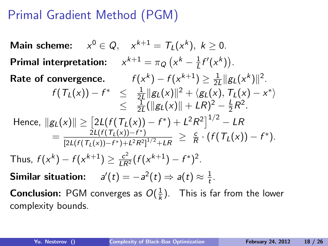# Primal Gradient Method (PGM)

Main scheme:  $x^0 \in Q$ ,  $x^{k+1} = T_L(x^k)$ ,  $k \ge 0$ . Primal interpretation:  $x^{k+1} = \pi_Q (x^k - \frac{1}{L})$  $\frac{1}{L}f'(x^k)$ . Rate of convergence.  $f(x^k) - f(x^{k+1}) \geq \frac{1}{2k}$  $\frac{1}{2L} \|g_L(x^k)\|^2$ .  $f(T_L(x)) - f^* \leq \frac{1}{2l}$  $\frac{1}{2L}\Vert g_L(x)\Vert^2 + \langle g_L(x),\, \mathcal{T}_L(x) - x^* \rangle$  $\leq \frac{1}{21}$  $\frac{1}{2L}(\|g_L(x)\| + LR)^2 - \frac{L}{2}$  $\frac{L}{2}R^2$ . Hence,  $\left\| g_L(\mathsf{x}) \right\| \geq \left[ 2 L(f(\mathcal{T}_L(\mathsf{x})) - f^*) + L^2 R^2 \right]^{1/2} - LR$  $=\frac{2L(f(T_L(x))-f^*)}{\sqrt{2L(f(T_L(x))}-f^*)^2}$  $\frac{2L(t(L(x)) - t^*)}{[2L(f(T_L(x)) - t^*) + L^2R^2]^{1/2} + LR} \geq \frac{c}{R}$  $\frac{c}{R} \cdot (f(T_L(x)) - f^*)$ . Thus,  $f(x^k) - f(x^{k+1}) \geq \frac{c^2}{LR^2} (f(x^{k+1}) - f^*)^2$ . Similar situation:  $a'(t) = -a^2(t) \Rightarrow a(t) \approx \frac{1}{t}$  $\frac{1}{t}$ . **Conclusion:** PGM converges as  $O(\frac{1}{k})$  $\frac{1}{k}$ ). This is far from the lower complexity bounds.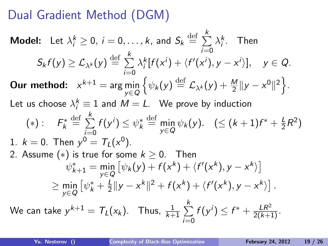# Dual Gradient Method (DGM)

**Model:** Let 
$$
\lambda_i^k \geq 0
$$
,  $i = 0, ..., k$ , and  $S_k \stackrel{\text{def}}{=} \sum_{i=0}^k \lambda_i^k$ . Then  
\n $S_k f(y) \geq \mathcal{L}_{\lambda^k}(y) \stackrel{\text{def}}{=} \sum_{i=0}^k \lambda_i^k [f(x^i) + \langle f'(x^i), y - x^i \rangle], y \in Q$ .  
\n**Our method:**  $x^{k+1} = \arg \min_{y \in Q} \{ \psi_k(y) \stackrel{\text{def}}{=} \mathcal{L}_{\lambda^k}(y) + \frac{M}{2} ||y - x^0||^2 \}$ .  
\nLet us choose  $\lambda_i^k \equiv 1$  and  $M = L$ . We prove by induction  
\n
$$
(*): F_k^* \stackrel{\text{def}}{=} \sum_{i=0}^k f(y^i) \leq \psi_k^* \stackrel{\text{def}}{=} \min_{y \in Q} \psi_k(y)
$$
.  $(\leq (k+1)f^* + \frac{L}{2}R^2)$   
\n1.  $k = 0$ . Then  $y^0 = T_L(x^0)$ .  
\n2. Assume (\*) is true for some  $k \geq 0$ . Then  
\n
$$
\psi_{k+1}^* = \min_{y \in Q} [\psi_k(y) + f(x^k) + \langle f'(x^k), y - x^k \rangle]
$$
  
\n
$$
\geq \min_{y \in Q} [\psi_k^* + \frac{L}{2} ||y - x^k||^2 + f(x^k) + \langle f'(x^k), y - x^k \rangle].
$$
  
\nWe can take  $y^{k+1} = T_L(x_k)$ . Thus,  $\frac{1}{k+1} \sum_{i=0}^k f(y^i) \leq f^* + \frac{LR^2}{2(k+1)}$ .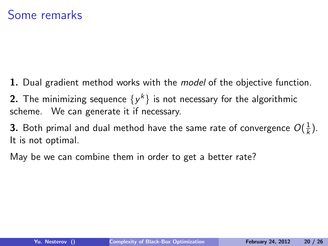1. Dual gradient method works with the *model* of the objective function.

**2.** The minimizing sequence  $\{y^k\}$  is not necessary for the algorithmic scheme. We can generate it if necessary.

**3**. Both primal and dual method have the same rate of convergence  $O(\frac{1}{k})$  $\frac{1}{k}$ ). It is not optimal.

May be we can combine them in order to get a better rate?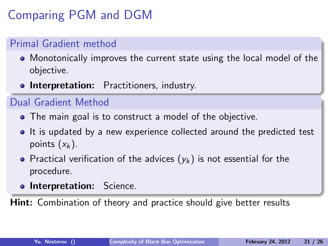# Comparing PGM and DGM

#### Primal Gradient method

- Monotonically improves the current state using the local model of the objective.
- **.** Interpretation: Practitioners, industry.

#### Dual Gradient Method

- The main goal is to construct a model of the objective.
- If is updated by a new experience collected around the predicted test points  $(x_k)$ .
- Practical verification of the advices  $(y_k)$  is not essential for the procedure.
- **o Interpretation:** Science.

**Hint:** Combination of theory and practice should give better results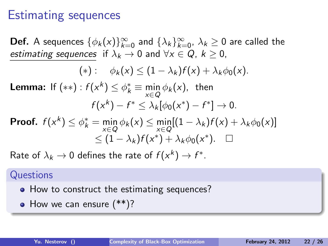### Estimating sequences

**Def.** A sequences  $\{\phi_k(x)\}_{k=0}^{\infty}$  and  $\{\lambda_k\}_{k=0}^{\infty}$ ,  $\lambda_k \ge 0$  are called the estimating sequences if  $\lambda_k \to 0$  and  $\forall x \in Q$ ,  $k > 0$ ,

$$
(*): \quad \phi_k(x) \leq (1-\lambda_k)f(x) + \lambda_k \phi_0(x).
$$

**Lemma:** If  $(**)$  :  $f(x^k) \leq \phi_k^* \equiv \min_{x \in Q} \phi_k(x)$ , then  $f(x^k) - f^* \leq \lambda_k[\phi_0(x^*) - f^*] \to 0.$ 

**Proof.** 
$$
f(x^k) \le \phi_k^* = \min_{x \in Q} \phi_k(x) \le \min_{x \in Q} [(1 - \lambda_k)f(x) + \lambda_k \phi_0(x)] \le (1 - \lambda_k)f(x^*) + \lambda_k \phi_0(x^*)
$$
.  $\square$ 

Rate of  $\lambda_k \to 0$  defines the rate of  $f(x^k) \to f^*.$ 

#### **Questions**

- How to construct the estimating sequences?
- How we can ensure  $(**)$ ?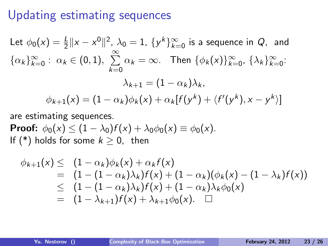### Updating estimating sequences

Let 
$$
\phi_0(x) = \frac{1}{2} ||x - x^0||^2
$$
,  $\lambda_0 = 1$ ,  $\{y^k\}_{k=0}^{\infty}$  is a sequence in *Q*, and  
\n $\{\alpha_k\}_{k=0}^{\infty}$ :  $\alpha_k \in (0, 1)$ ,  $\sum_{k=0}^{\infty} \alpha_k = \infty$ . Then  $\{\phi_k(x)\}_{k=0}^{\infty}$ ,  $\{\lambda_k\}_{k=0}^{\infty}$ :  
\n
$$
\lambda_{k+1} = (1 - \alpha_k)\lambda_k,
$$
  
\n
$$
\phi_{k+1}(x) = (1 - \alpha_k)\phi_k(x) + \alpha_k[f(y^k) + \langle f'(y^k), x - y^k \rangle]
$$

are estimating sequences.

**Proof:**  $\phi_0(x) \leq (1 - \lambda_0)f(x) + \lambda_0\phi_0(x) \equiv \phi_0(x)$ . If (\*) holds for some  $k \geq 0$ , then

$$
\phi_{k+1}(x) \leq (1-\alpha_k)\phi_k(x) + \alpha_k f(x)
$$
\n
$$
= (1 - (1 - \alpha_k)\lambda_k)f(x) + (1 - \alpha_k)(\phi_k(x) - (1 - \lambda_k)f(x))
$$
\n
$$
\leq (1 - (1 - \alpha_k)\lambda_k)f(x) + (1 - \alpha_k)\lambda_k\phi_0(x)
$$
\n
$$
= (1 - \lambda_{k+1})f(x) + \lambda_{k+1}\phi_0(x). \square
$$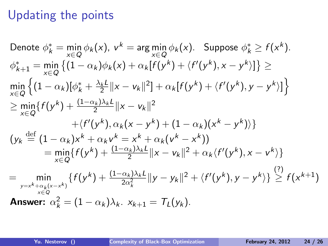# Updating the points

Denote 
$$
\phi_k^* = \min_{x \in Q} \phi_k(x)
$$
,  $v^k = \arg \min_{x \in Q} \phi_k(x)$ . Suppose  $\phi_k^* \ge f(x^k)$ .  
\n $\phi_{k+1}^* = \min_{x \in Q} \{ (1 - \alpha_k)\phi_k(x) + \alpha_k[f(y^k) + \langle f'(y^k), x - y^k \rangle] \} \ge$   
\n $\min_{x \in Q} \{ (1 - \alpha_k)[\phi_k^* + \frac{\lambda_k l}{2} ||x - v_k||^2] + \alpha_k [f(y^k) + \langle f'(y^k), y - y^k \rangle] \}$   
\n $\ge \min_{x \in Q} \{ f(y^k) + \frac{(1 - \alpha_k)\lambda_k l}{2} ||x - v_k||^2$   
\n $+ \langle f'(y^k), \alpha_k(x - y^k) + (1 - \alpha_k)(x^k - y^k) \rangle \}$   
\n $(y_k \stackrel{\text{def}}{=} (1 - \alpha_k)x^k + \alpha_k v^k = x^k + \alpha_k (v^k - x^k))$   
\n $= \min_{x \in Q} \{ f(y^k) + \frac{(1 - \alpha_k)\lambda_k l}{2} ||x - v_k||^2 + \alpha_k \langle f'(y^k), x - v^k \rangle \}$   
\n $= \min_{y = x^k + \alpha_k(x - x^k)} \{ f(y^k) + \frac{(1 - \alpha_k)\lambda_k l}{2\alpha_k^2} ||y - y_k||^2 + \langle f'(y^k), y - y^k \rangle \} \ge f(x^{k+1})$   
\n**Answer:**  $\alpha_k^2 = (1 - \alpha_k)\lambda_k$ .  $x_{k+1} = T_L(y_k)$ .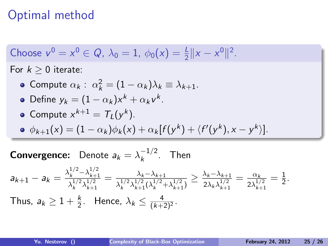# Optimal method

Choose 
$$
v^0 = x^0 \in Q
$$
,  $\lambda_0 = 1$ ,  $\phi_0(x) = \frac{1}{2} ||x - x^0||^2$ .

For  $k \geq 0$  iterate:

• Compute 
$$
\alpha_k
$$
:  $\alpha_k^2 = (1 - \alpha_k)\lambda_k \equiv \lambda_{k+1}$ .

• Define 
$$
y_k = (1 - \alpha_k)x^k + \alpha_k v^k
$$
.

• Compute 
$$
x^{k+1} = T_L(y^k)
$$
.

$$
\bullet \ \phi_{k+1}(x) = (1-\alpha_k)\phi_k(x) + \alpha_k[f(y^k) + \langle f'(y^k), x - y^k \rangle].
$$

**Convergence:** Denote  $a_k = \lambda_k^{-1/2}$  $\frac{-1}{2}$ . Then

$$
a_{k+1} - a_k = \frac{\lambda_k^{1/2} - \lambda_{k+1}^{1/2}}{\lambda_k^{1/2} \lambda_{k+1}^{1/2}} = \frac{\lambda_k - \lambda_{k+1}}{\lambda_k^{1/2} \lambda_{k+1}^{1/2} (\lambda_k^{1/2} + \lambda_{k+1}^{1/2})} \ge \frac{\lambda_k - \lambda_{k+1}}{2\lambda_k \lambda_{k+1}^{1/2}} = \frac{\alpha_k}{2\lambda_{k+1}^{1/2}} = \frac{1}{2}.
$$
  
Thus,  $a_k \ge 1 + \frac{k}{2}$ . Hence,  $\lambda_k \le \frac{4}{(k+2)^2}$ .